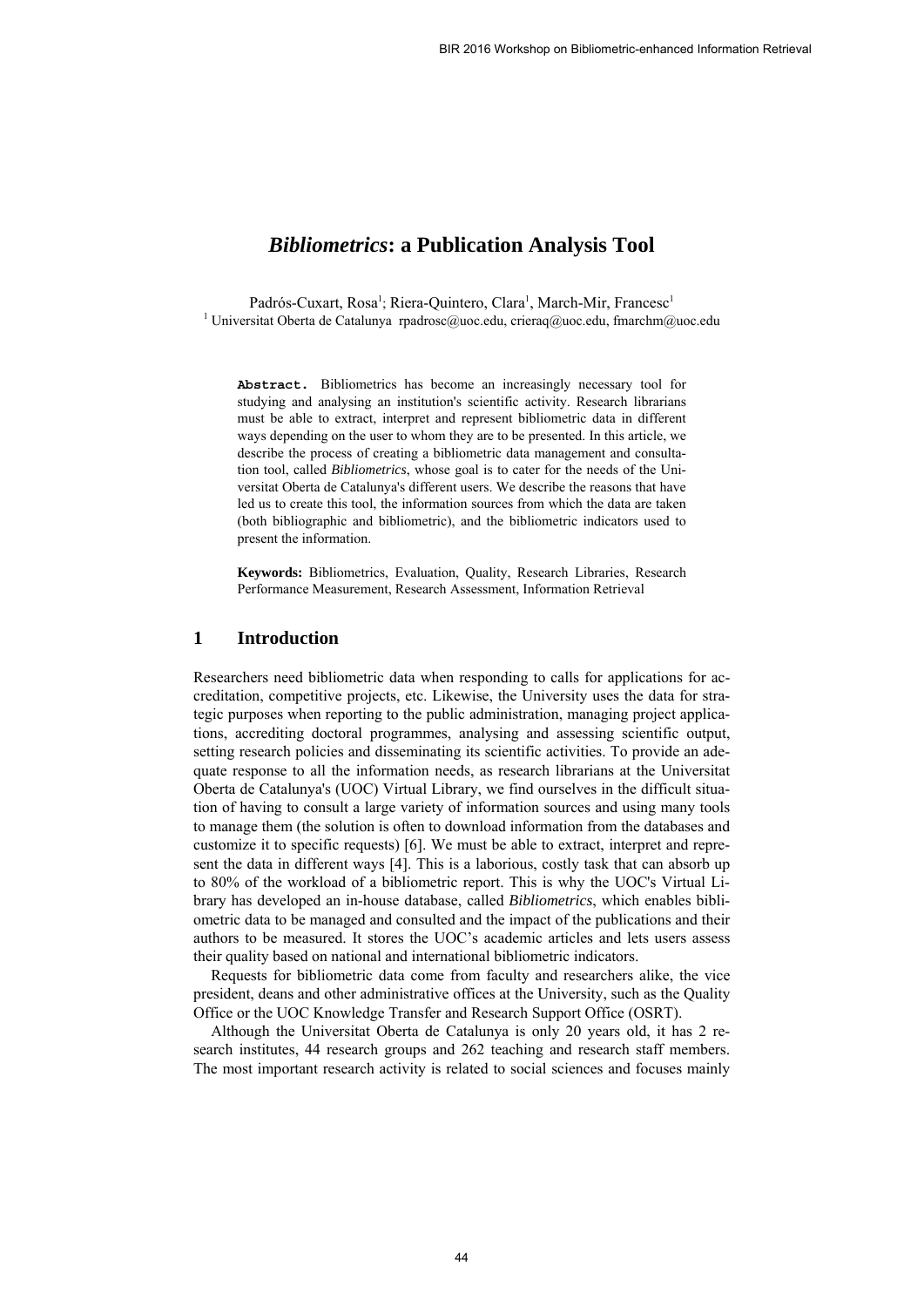# *Bibliometrics***: a Publication Analysis Tool**

Padrós-Cuxart, Rosa<sup>1</sup>; Riera-Quintero, Clara<sup>1</sup>, March-Mir, Francesc<sup>1</sup> <sup>1</sup> Universitat Oberta de Catalunya rpadrosc@uoc.edu, crieraq@uoc.edu, fmarchm@uoc.edu

**Abstract.** Bibliometrics has become an increasingly necessary tool for studying and analysing an institution's scientific activity. Research librarians must be able to extract, interpret and represent bibliometric data in different ways depending on the user to whom they are to be presented. In this article, we describe the process of creating a bibliometric data management and consultation tool, called *Bibliometrics*, whose goal is to cater for the needs of the Universitat Oberta de Catalunya's different users. We describe the reasons that have led us to create this tool, the information sources from which the data are taken (both bibliographic and bibliometric), and the bibliometric indicators used to present the information.

**Keywords:** Bibliometrics, Evaluation, Quality, Research Libraries, Research Performance Measurement, Research Assessment, Information Retrieval

# **1 Introduction**

Researchers need bibliometric data when responding to calls for applications for accreditation, competitive projects, etc. Likewise, the University uses the data for strategic purposes when reporting to the public administration, managing project applications, accrediting doctoral programmes, analysing and assessing scientific output, setting research policies and disseminating its scientific activities. To provide an adequate response to all the information needs, as research librarians at the Universitat Oberta de Catalunya's (UOC) Virtual Library, we find ourselves in the difficult situation of having to consult a large variety of information sources and using many tools to manage them (the solution is often to download information from the databases and customize it to specific requests) [6]. We must be able to extract, interpret and represent the data in different ways [4]. This is a laborious, costly task that can absorb up to 80% of the workload of a bibliometric report. This is why the UOC's Virtual Library has developed an in-house database, called *Bibliometrics*, which enables bibliometric data to be managed and consulted and the impact of the publications and their authors to be measured. It stores the UOC's academic articles and lets users assess their quality based on national and international bibliometric indicators.

Requests for bibliometric data come from faculty and researchers alike, the vice president, deans and other administrative offices at the University, such as the Quality Office or the UOC Knowledge Transfer and Research Support Office (OSRT).

Although the Universitat Oberta de Catalunya is only 20 years old, it has 2 research institutes, 44 research groups and 262 teaching and research staff members. The most important research activity is related to social sciences and focuses mainly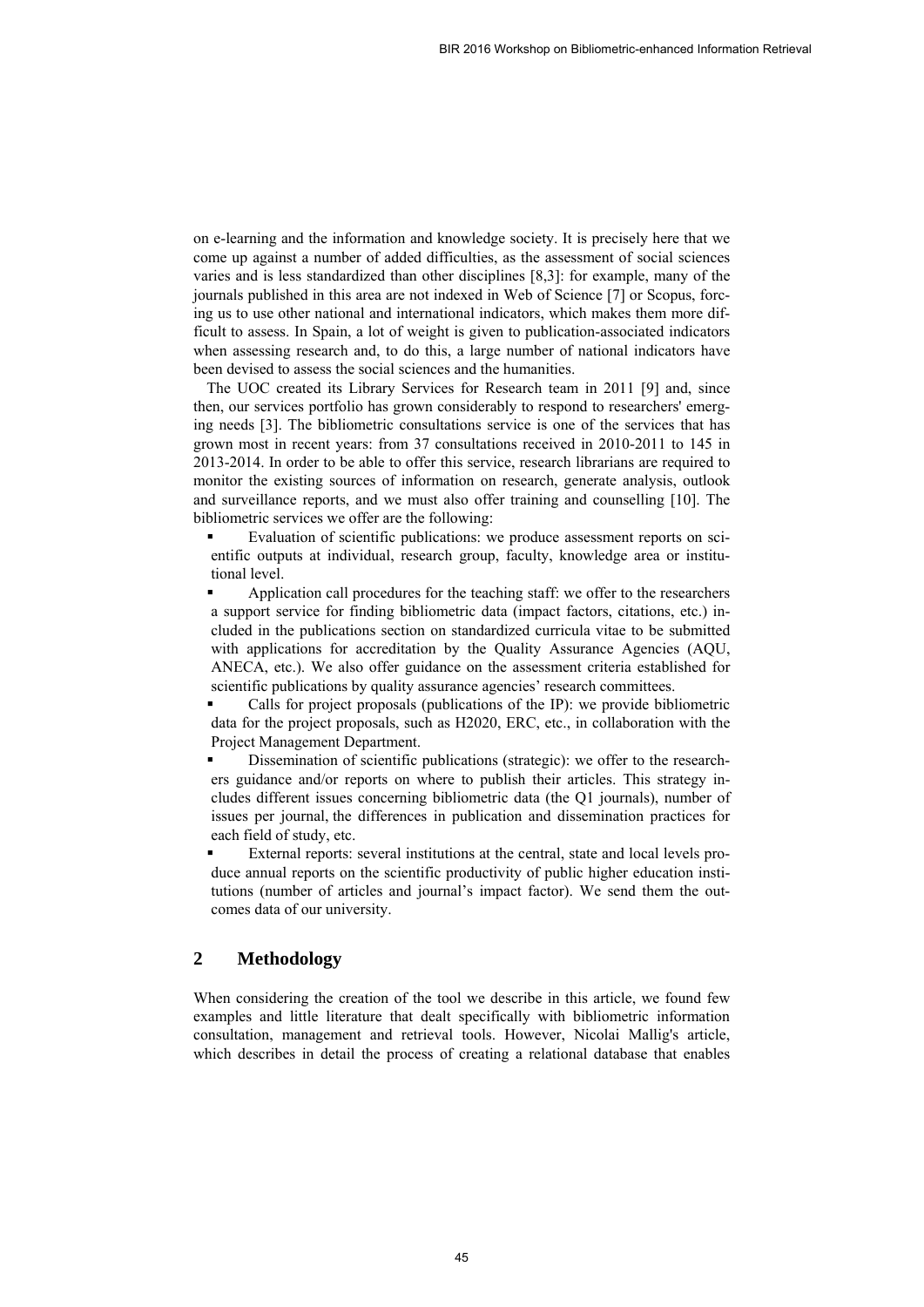on e-learning and the information and knowledge society. It is precisely here that we come up against a number of added difficulties, as the assessment of social sciences varies and is less standardized than other disciplines [8,3]: for example, many of the journals published in this area are not indexed in Web of Science [7] or Scopus, forcing us to use other national and international indicators, which makes them more difficult to assess. In Spain, a lot of weight is given to publication-associated indicators when assessing research and, to do this, a large number of national indicators have been devised to assess the social sciences and the humanities.

The UOC created its Library Services for Research team in 2011 [9] and, since then, our services portfolio has grown considerably to respond to researchers' emerging needs [3]. The bibliometric consultations service is one of the services that has grown most in recent years: from 37 consultations received in 2010-2011 to 145 in 2013-2014. In order to be able to offer this service, research librarians are required to monitor the existing sources of information on research, generate analysis, outlook and surveillance reports, and we must also offer training and counselling [10]. The bibliometric services we offer are the following:

 Evaluation of scientific publications: we produce assessment reports on scientific outputs at individual, research group, faculty, knowledge area or institutional level.

 Application call procedures for the teaching staff: we offer to the researchers a support service for finding bibliometric data (impact factors, citations, etc.) included in the publications section on standardized curricula vitae to be submitted with applications for accreditation by the Quality Assurance Agencies (AQU, ANECA, etc.). We also offer guidance on the assessment criteria established for scientific publications by quality assurance agencies' research committees.

 Calls for project proposals (publications of the IP): we provide bibliometric data for the project proposals, such as H2020, ERC, etc., in collaboration with the Project Management Department.

 Dissemination of scientific publications (strategic): we offer to the researchers guidance and/or reports on where to publish their articles. This strategy includes different issues concerning bibliometric data (the Q1 journals), number of issues per journal, the differences in publication and dissemination practices for each field of study, etc.

 External reports: several institutions at the central, state and local levels produce annual reports on the scientific productivity of public higher education institutions (number of articles and journal's impact factor). We send them the outcomes data of our university.

# **2 Methodology**

When considering the creation of the tool we describe in this article, we found few examples and little literature that dealt specifically with bibliometric information consultation, management and retrieval tools. However, Nicolai Mallig's article, which describes in detail the process of creating a relational database that enables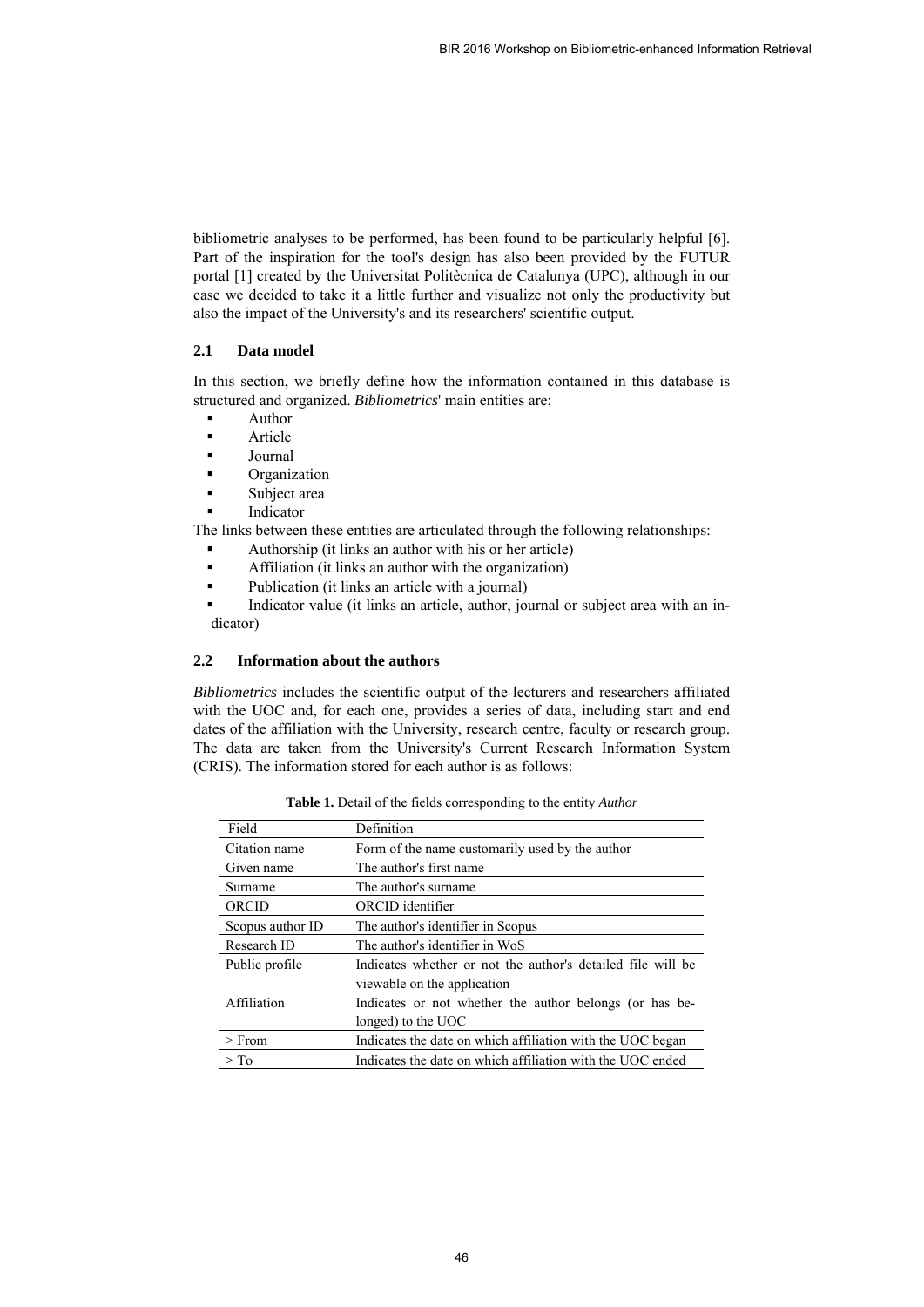bibliometric analyses to be performed, has been found to be particularly helpful [6]. Part of the inspiration for the tool's design has also been provided by the FUTUR portal [1] created by the Universitat Politècnica de Catalunya (UPC), although in our case we decided to take it a little further and visualize not only the productivity but also the impact of the University's and its researchers' scientific output.

## **2.1 Data model**

In this section, we briefly define how the information contained in this database is structured and organized. *Bibliometrics*' main entities are:

- **Author**
- Article
- Journal
- **C**rganization
- Subject area
- Indicator

The links between these entities are articulated through the following relationships:

- Authorship (it links an author with his or her article)
- Affiliation (it links an author with the organization)
- Publication (it links an article with a journal)
- Indicator value (it links an article, author, journal or subject area with an indicator)

## **2.2 Information about the authors**

*Bibliometrics* includes the scientific output of the lecturers and researchers affiliated with the UOC and, for each one, provides a series of data, including start and end dates of the affiliation with the University, research centre, faculty or research group. The data are taken from the University's Current Research Information System (CRIS). The information stored for each author is as follows:

| Field            | Definition                                                                                 |  |
|------------------|--------------------------------------------------------------------------------------------|--|
| Citation name    | Form of the name customarily used by the author                                            |  |
| Given name       | The author's first name.                                                                   |  |
| Surname          | The author's surname.                                                                      |  |
| ORCID            | ORCID identifier                                                                           |  |
| Scopus author ID | The author's identifier in Scopus                                                          |  |
| Research ID      | The author's identifier in WoS                                                             |  |
| Public profile   | Indicates whether or not the author's detailed file will be<br>viewable on the application |  |
| Affiliation      | Indicates or not whether the author belongs (or has be-                                    |  |
|                  | longed) to the UOC                                                                         |  |
| $>$ From         | Indicates the date on which affiliation with the UOC began                                 |  |
| $\geq$ To        | Indicates the date on which affiliation with the UOC ended                                 |  |

**Table 1.** Detail of the fields corresponding to the entity *Author*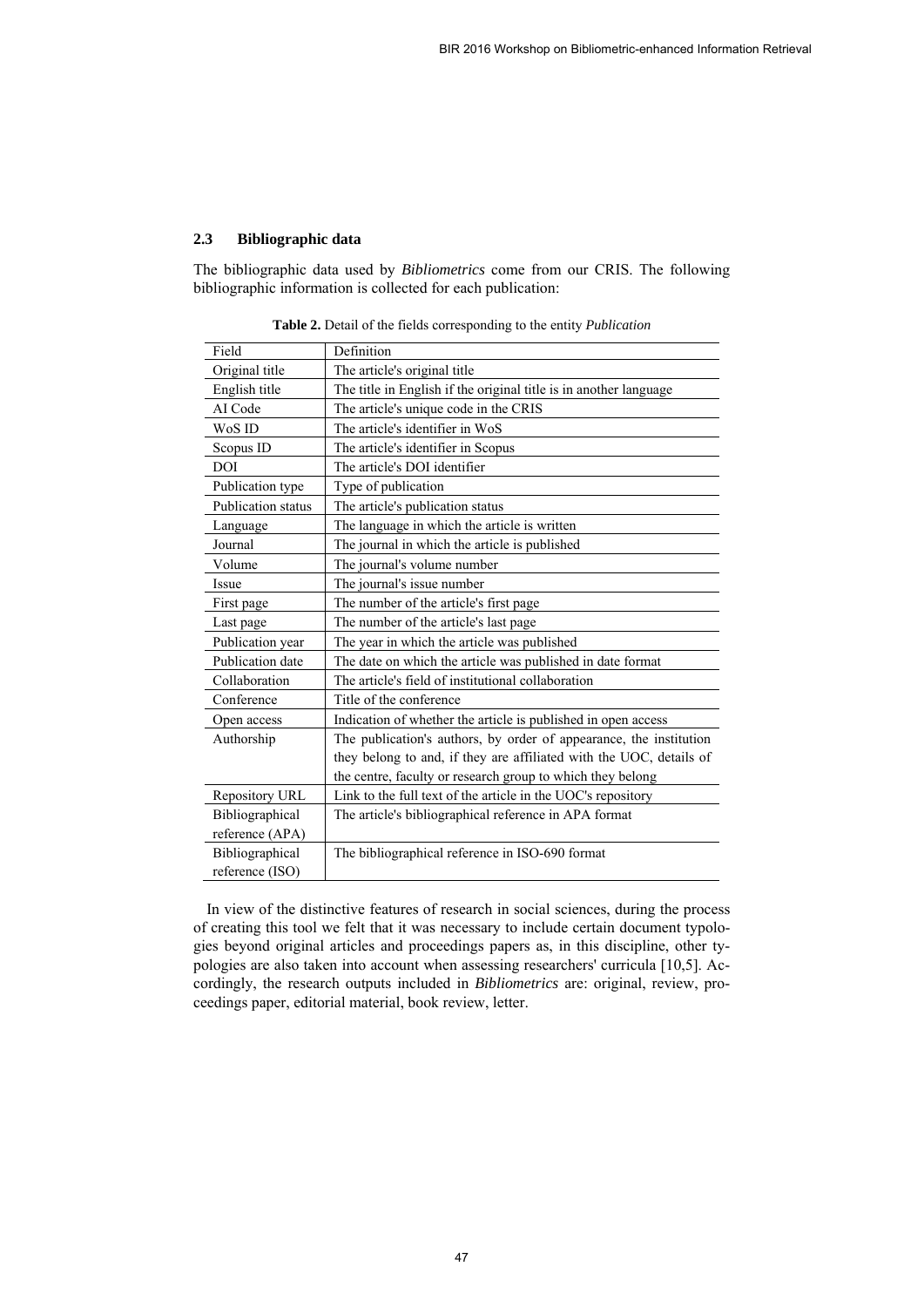## **2.3 Bibliographic data**

The bibliographic data used by *Bibliometrics* come from our CRIS. The following bibliographic information is collected for each publication:

| Field              | Definition                                                          |  |
|--------------------|---------------------------------------------------------------------|--|
| Original title     | The article's original title                                        |  |
| English title      | The title in English if the original title is in another language   |  |
| AI Code            | The article's unique code in the CRIS                               |  |
| WoS ID             | The article's identifier in WoS                                     |  |
| Scopus ID          | The article's identifier in Scopus                                  |  |
| DOI                | The article's DOI identifier                                        |  |
| Publication type   | Type of publication                                                 |  |
| Publication status | The article's publication status                                    |  |
| Language           | The language in which the article is written                        |  |
| Journal            | The journal in which the article is published                       |  |
| Volume             | The journal's volume number                                         |  |
| Issue              | The journal's issue number                                          |  |
| First page         | The number of the article's first page                              |  |
| Last page          | The number of the article's last page                               |  |
| Publication year   | The year in which the article was published                         |  |
| Publication date   | The date on which the article was published in date format          |  |
| Collaboration      | The article's field of institutional collaboration                  |  |
| Conference         | Title of the conference                                             |  |
| Open access        | Indication of whether the article is published in open access       |  |
| Authorship         | The publication's authors, by order of appearance, the institution  |  |
|                    | they belong to and, if they are affiliated with the UOC, details of |  |
|                    | the centre, faculty or research group to which they belong          |  |
| Repository URL     | Link to the full text of the article in the UOC's repository        |  |
| Bibliographical    | The article's bibliographical reference in APA format               |  |
| reference (APA)    |                                                                     |  |
| Bibliographical    | The bibliographical reference in ISO-690 format                     |  |
| reference (ISO)    |                                                                     |  |

**Table 2.** Detail of the fields corresponding to the entity *Publication*

In view of the distinctive features of research in social sciences, during the process of creating this tool we felt that it was necessary to include certain document typologies beyond original articles and proceedings papers as, in this discipline, other typologies are also taken into account when assessing researchers' curricula [10,5]. Accordingly, the research outputs included in *Bibliometrics* are: original, review, proceedings paper, editorial material, book review, letter.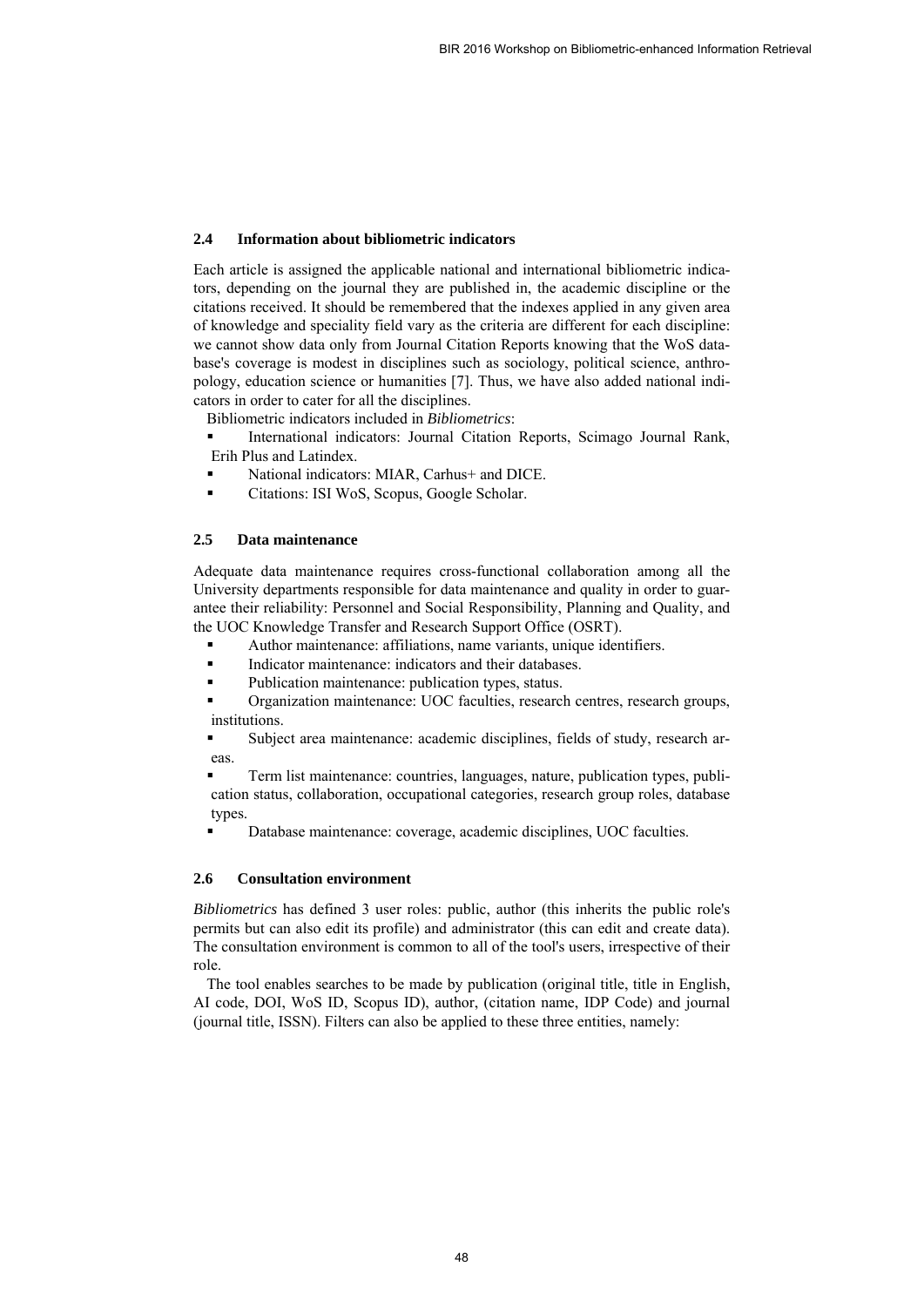#### **2.4 Information about bibliometric indicators**

Each article is assigned the applicable national and international bibliometric indicators, depending on the journal they are published in, the academic discipline or the citations received. It should be remembered that the indexes applied in any given area of knowledge and speciality field vary as the criteria are different for each discipline: we cannot show data only from Journal Citation Reports knowing that the WoS database's coverage is modest in disciplines such as sociology, political science, anthropology, education science or humanities [7]. Thus, we have also added national indicators in order to cater for all the disciplines.

Bibliometric indicators included in *Bibliometrics*:

- International indicators: Journal Citation Reports, Scimago Journal Rank, Erih Plus and Latindex.
- National indicators: MIAR, Carhus+ and DICE.
- Citations: ISI WoS, Scopus, Google Scholar.

## **2.5 Data maintenance**

Adequate data maintenance requires cross-functional collaboration among all the University departments responsible for data maintenance and quality in order to guarantee their reliability: Personnel and Social Responsibility, Planning and Quality, and the UOC Knowledge Transfer and Research Support Office (OSRT).

- Author maintenance: affiliations, name variants, unique identifiers.
- Indicator maintenance: indicators and their databases.
- Publication maintenance: publication types, status.
- Organization maintenance: UOC faculties, research centres, research groups, institutions.
- Subject area maintenance: academic disciplines, fields of study, research areas.

 Term list maintenance: countries, languages, nature, publication types, publication status, collaboration, occupational categories, research group roles, database types.

Database maintenance: coverage, academic disciplines, UOC faculties.

#### **2.6 Consultation environment**

*Bibliometrics* has defined 3 user roles: public, author (this inherits the public role's permits but can also edit its profile) and administrator (this can edit and create data). The consultation environment is common to all of the tool's users, irrespective of their role.

The tool enables searches to be made by publication (original title, title in English, AI code, DOI, WoS ID, Scopus ID), author, (citation name, IDP Code) and journal (journal title, ISSN). Filters can also be applied to these three entities, namely: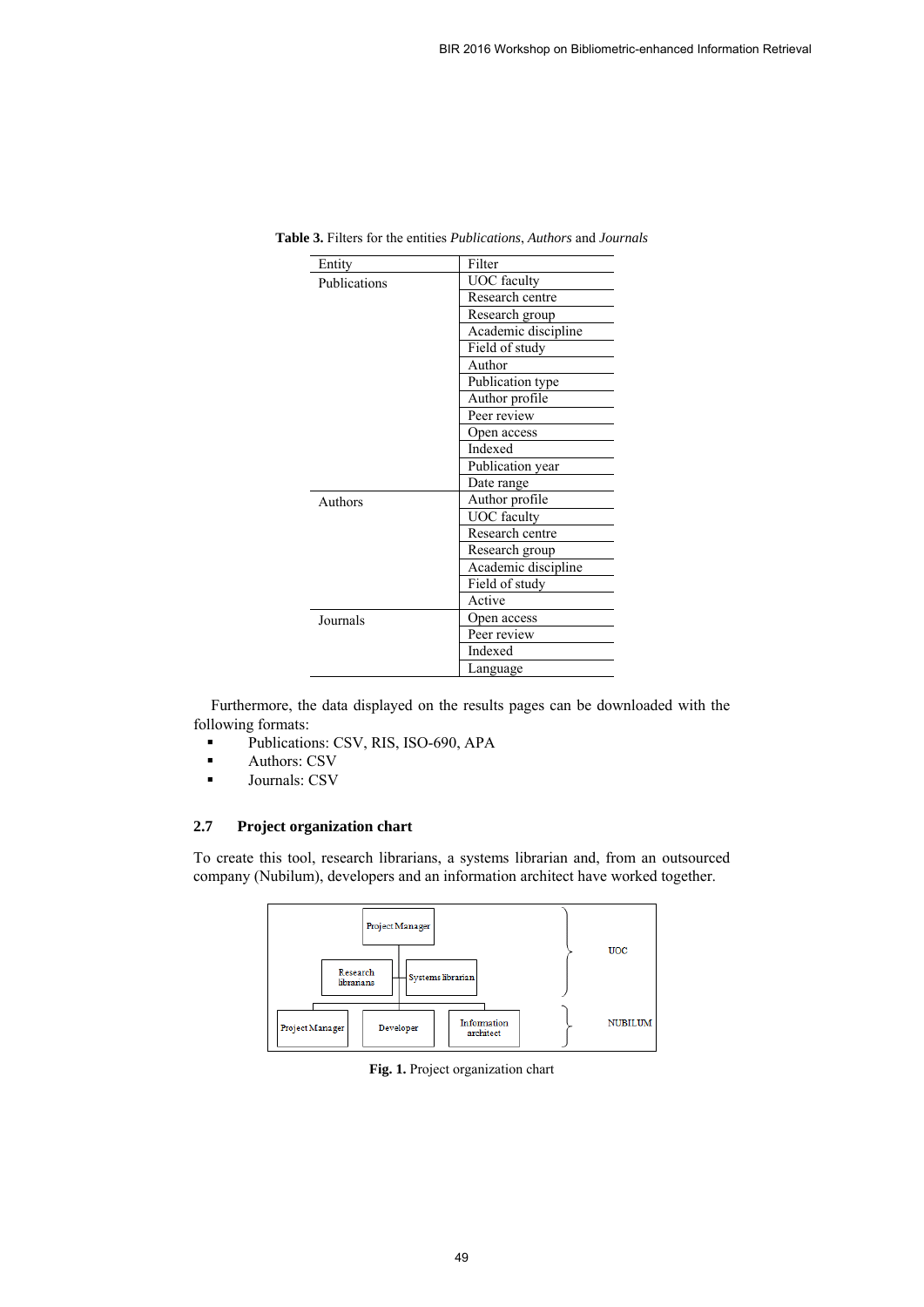| Entity       | Filter              |
|--------------|---------------------|
| Publications | <b>UOC</b> faculty  |
|              | Research centre     |
|              | Research group      |
|              | Academic discipline |
|              | Field of study      |
|              | Author              |
|              | Publication type    |
|              | Author profile      |
|              | Peer review         |
|              | Open access         |
|              | Indexed             |
|              | Publication year    |
|              | Date range          |
| Authors      | Author profile      |
|              | <b>UOC</b> faculty  |
|              | Research centre     |
|              | Research group      |
|              | Academic discipline |
|              | Field of study      |
|              | Active              |
| Journals     | Open access         |
|              | Peer review         |
|              | Indexed             |
|              | Language            |

**Table 3.** Filters for the entities *Publications*, *Authors* and *Journals*

Furthermore, the data displayed on the results pages can be downloaded with the following formats:

- Publications: CSV, RIS, ISO-690, APA
- **Authors: CSV**
- **Journals: CSV**

## **2.7 Project organization chart**

To create this tool, research librarians, a systems librarian and, from an outsourced company (Nubilum), developers and an information architect have worked together.



**Fig. 1.** Project organization chart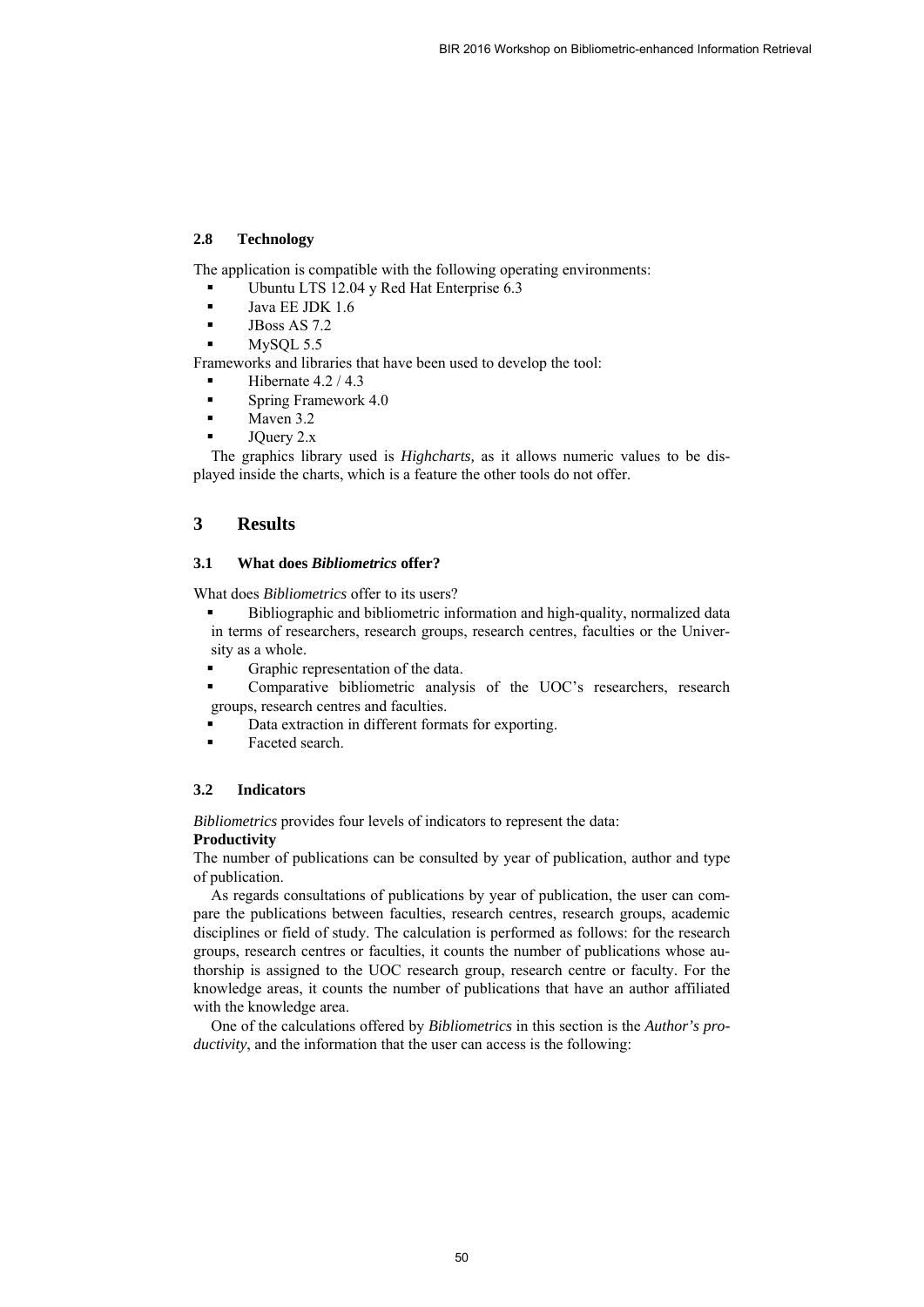#### **2.8 Technology**

The application is compatible with the following operating environments:

- Ubuntu LTS 12.04 y Red Hat Enterprise 6.3
- Java EE JDK 1.6
- $\blacksquare$  JBoss AS 7.2
- MySQL 5.5

Frameworks and libraries that have been used to develop the tool:

- Hibernate 4.2 / 4.3
- **Spring Framework 4.0**
- Mayen 3.2
- JQuery 2.x

The graphics library used is *Highcharts,* as it allows numeric values to be displayed inside the charts, which is a feature the other tools do not offer.

# **3 Results**

## **3.1 What does** *Bibliometrics* **offer?**

What does *Bibliometrics* offer to its users?

- Bibliographic and bibliometric information and high-quality, normalized data in terms of researchers, research groups, research centres, faculties or the University as a whole.
- Graphic representation of the data.
- Comparative bibliometric analysis of the UOC's researchers, research groups, research centres and faculties.
- Data extraction in different formats for exporting.
- Faceted search.

#### **3.2 Indicators**

*Bibliometrics* provides four levels of indicators to represent the data:

#### **Productivity**

The number of publications can be consulted by year of publication, author and type of publication.

As regards consultations of publications by year of publication, the user can compare the publications between faculties, research centres, research groups, academic disciplines or field of study. The calculation is performed as follows: for the research groups, research centres or faculties, it counts the number of publications whose authorship is assigned to the UOC research group, research centre or faculty. For the knowledge areas, it counts the number of publications that have an author affiliated with the knowledge area.

One of the calculations offered by *Bibliometrics* in this section is the *Author's productivity*, and the information that the user can access is the following: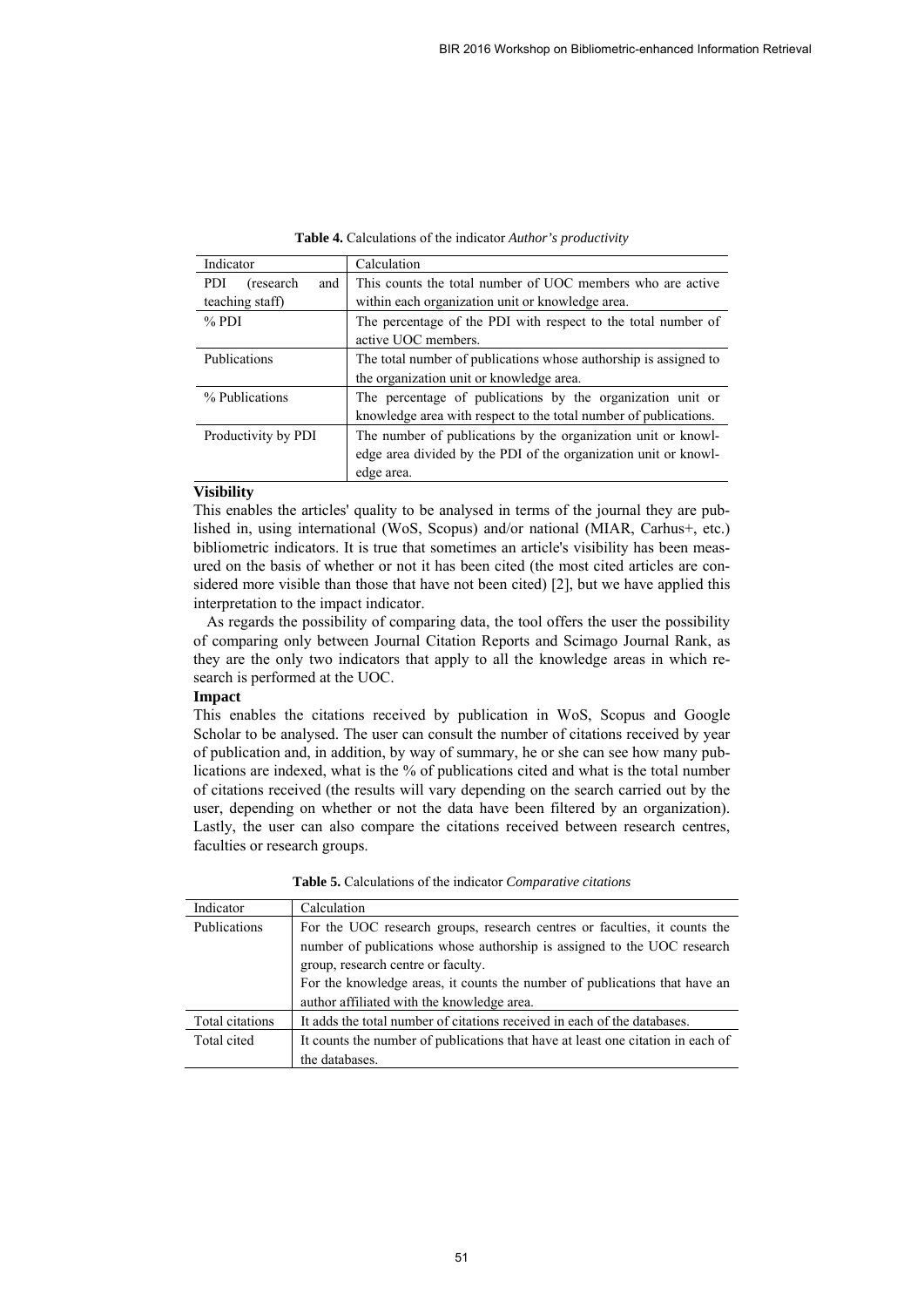| Indicator                       | Calculation                                                      |
|---------------------------------|------------------------------------------------------------------|
| <b>PDI</b><br>(research)<br>and | This counts the total number of UOC members who are active       |
| teaching staff)                 | within each organization unit or knowledge area.                 |
| $%$ PDI                         | The percentage of the PDI with respect to the total number of    |
|                                 | active UOC members.                                              |
| Publications                    | The total number of publications whose authorship is assigned to |
|                                 | the organization unit or knowledge area.                         |
| % Publications                  | The percentage of publications by the organization unit or       |
|                                 | knowledge area with respect to the total number of publications. |
| Productivity by PDI             | The number of publications by the organization unit or knowl-    |
|                                 | edge area divided by the PDI of the organization unit or knowl-  |
|                                 | edge area.                                                       |

**Table 4.** Calculations of the indicator *Author's productivity*

#### **Visibility**

This enables the articles' quality to be analysed in terms of the journal they are published in, using international (WoS, Scopus) and/or national (MIAR, Carhus+, etc.) bibliometric indicators. It is true that sometimes an article's visibility has been measured on the basis of whether or not it has been cited (the most cited articles are considered more visible than those that have not been cited) [2], but we have applied this interpretation to the impact indicator.

As regards the possibility of comparing data, the tool offers the user the possibility of comparing only between Journal Citation Reports and Scimago Journal Rank, as they are the only two indicators that apply to all the knowledge areas in which research is performed at the UOC.

#### **Impact**

This enables the citations received by publication in WoS, Scopus and Google Scholar to be analysed. The user can consult the number of citations received by year of publication and, in addition, by way of summary, he or she can see how many publications are indexed, what is the % of publications cited and what is the total number of citations received (the results will vary depending on the search carried out by the user, depending on whether or not the data have been filtered by an organization). Lastly, the user can also compare the citations received between research centres, faculties or research groups.

| Indicator       | Calculation                                                                     |  |
|-----------------|---------------------------------------------------------------------------------|--|
| Publications    | For the UOC research groups, research centres or faculties, it counts the       |  |
|                 | number of publications whose authorship is assigned to the UOC research         |  |
|                 | group, research centre or faculty.                                              |  |
|                 | For the knowledge areas, it counts the number of publications that have an      |  |
|                 | author affiliated with the knowledge area.                                      |  |
| Total citations | It adds the total number of citations received in each of the databases.        |  |
| Total cited     | It counts the number of publications that have at least one citation in each of |  |
|                 | the databases.                                                                  |  |

**Table 5.** Calculations of the indicator *Comparative citations*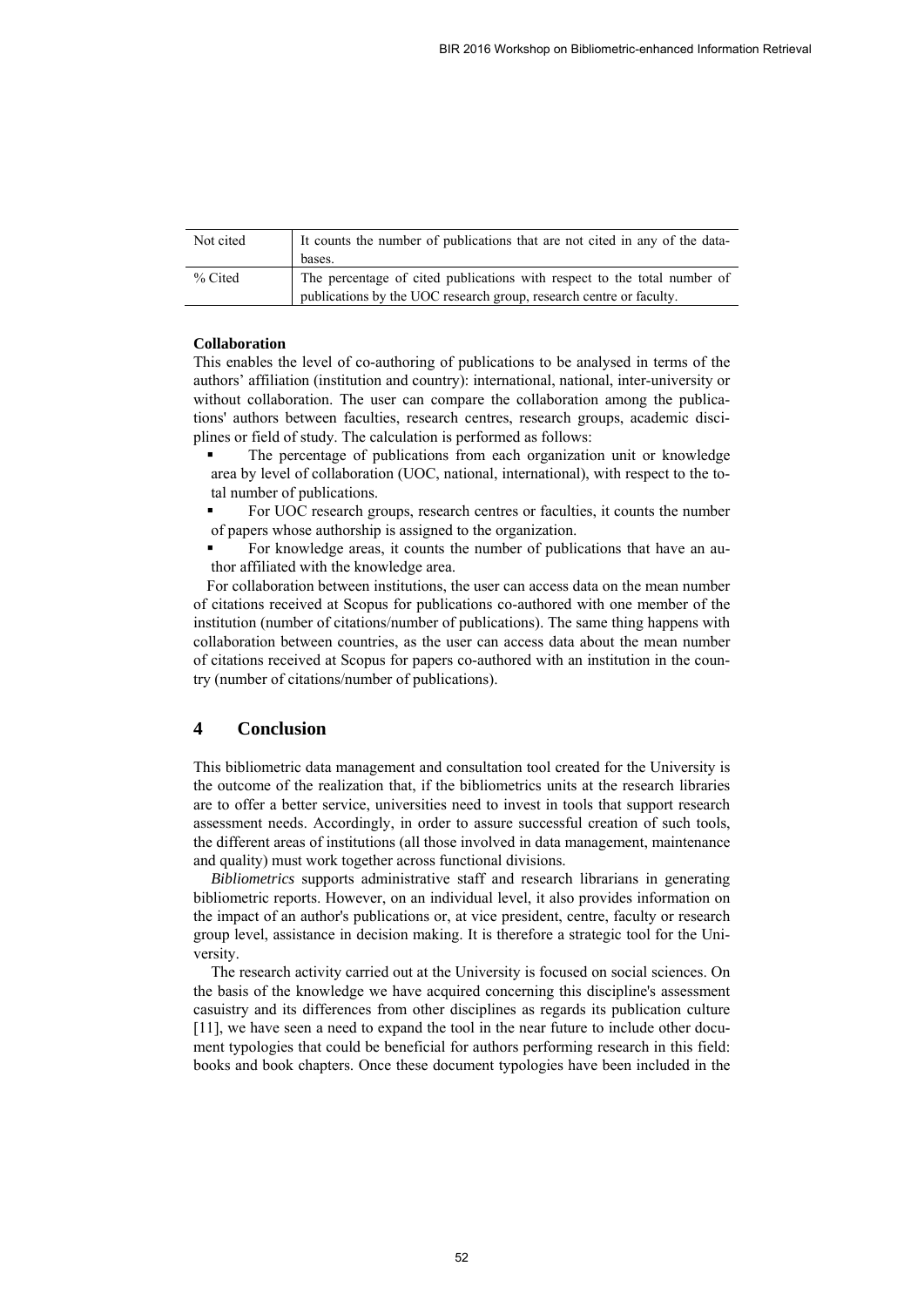| Not cited | It counts the number of publications that are not cited in any of the data-<br>bases.                                                           |
|-----------|-------------------------------------------------------------------------------------------------------------------------------------------------|
| % Cited   | The percentage of cited publications with respect to the total number of<br>publications by the UOC research group, research centre or faculty. |

#### **Collaboration**

This enables the level of co-authoring of publications to be analysed in terms of the authors' affiliation (institution and country): international, national, inter-university or without collaboration. The user can compare the collaboration among the publications' authors between faculties, research centres, research groups, academic disciplines or field of study. The calculation is performed as follows:

 The percentage of publications from each organization unit or knowledge area by level of collaboration (UOC, national, international), with respect to the total number of publications.

 For UOC research groups, research centres or faculties, it counts the number of papers whose authorship is assigned to the organization.

 For knowledge areas, it counts the number of publications that have an author affiliated with the knowledge area.

For collaboration between institutions, the user can access data on the mean number of citations received at Scopus for publications co-authored with one member of the institution (number of citations/number of publications). The same thing happens with collaboration between countries, as the user can access data about the mean number of citations received at Scopus for papers co-authored with an institution in the country (number of citations/number of publications).

## **4 Conclusion**

This bibliometric data management and consultation tool created for the University is the outcome of the realization that, if the bibliometrics units at the research libraries are to offer a better service, universities need to invest in tools that support research assessment needs. Accordingly, in order to assure successful creation of such tools, the different areas of institutions (all those involved in data management, maintenance and quality) must work together across functional divisions.

*Bibliometrics* supports administrative staff and research librarians in generating bibliometric reports. However, on an individual level, it also provides information on the impact of an author's publications or, at vice president, centre, faculty or research group level, assistance in decision making. It is therefore a strategic tool for the University.

The research activity carried out at the University is focused on social sciences. On the basis of the knowledge we have acquired concerning this discipline's assessment casuistry and its differences from other disciplines as regards its publication culture [11], we have seen a need to expand the tool in the near future to include other document typologies that could be beneficial for authors performing research in this field: books and book chapters. Once these document typologies have been included in the